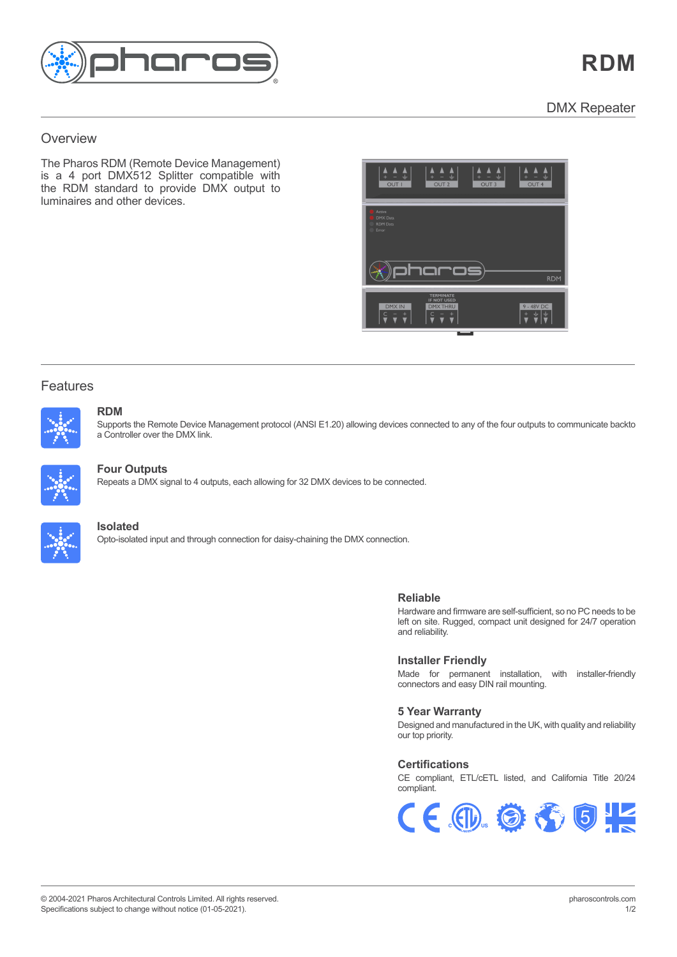

### <u>overviewe ver</u>  $\overline{\text{O}}$  verview Overview Overview

 $\overline{r}$ The Pharos RDM (Remote Device Management)<br>The Pharos RDM (Remote Device Management) is a 4 port DMX512 Splitter compatible with the analysis of the theory of the theory of the theory of the theory of the theory of the theory of the theory of the theory of the theory of the theory of the theory of the theo the RDM standard to provide DMX output to luminaires and other devices.



# Features Features



#### $RDM$  build dynamic, precise, fully customisable pre-programmed lighting dynamic,  $\alpha$  all while giving  $\alpha$ **RDM**

Features and the second

Supports the Remote Device Management protocol (ANSI E1.20) allowing devices connected to any of the four outputs to communicate backto a Controller over the DMX link.



## visually striking effects or play video across the entire array. Powerful controls allow you to build maps fast with pixel-precise adjustment. **Four Outputs**

**Repeats a DMX signal to 4 outputs, each allowing for 32 DMX devices to be connected.** 



#### Pharos Trigger is a rules engine that uses conditional logic and a broad range of interfaces and protocols. Send and receive any command, to **Isolated**

-<br>Opto-isolated input and through connection for daisy-chaining the DMX connection. **Reliable**

## **Reliable**

riatuwate and immwate are sell-sunfuent, so no PC needs to be<br>left on site. Rugged, compact unit designed for 24/7 operation and reliability.  $\mathcal{L}$ Hardware and firmware are self-sufficient, so no PC needs to be

## **Installer Friendly**

**Installer Friendly** Made for permanent installation, with installer-friendly wade for permanent installation, with installer-friendly<br>connectors and easy DIN rail mounting. CH colored, ETL/CETL Listed, and California Title 2014

# **5 Year Warranty 5 Year Warranty**

Designed and manufactured in the UK, with quality and Designed and manufactured in the UK, with quality and reliability our top priority.

# **Certifications Certifications**

CE compliant, ETL/cETL listed, and California Title 20/24 CE compliant, ETL/cETL listed, and California Title 20/24 compliant. compliant.